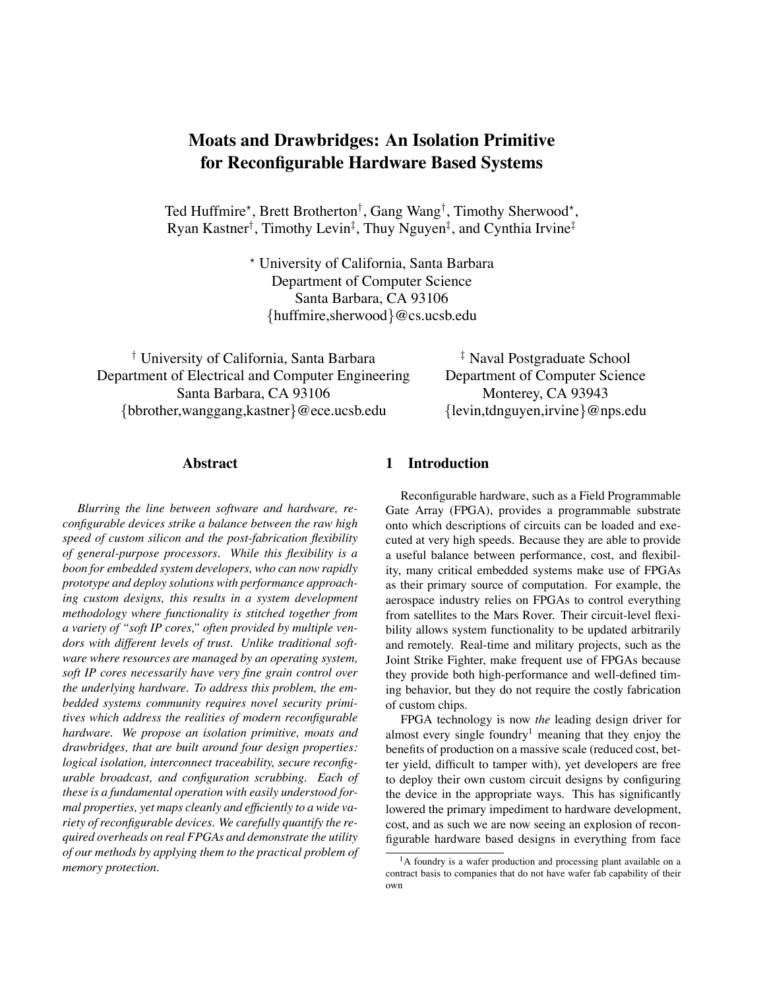# **Moats and Drawbridges: An Isolation Primitive for Reconfigurable Hardware Based Systems**

Ted Huffmire<sup>\*</sup>, Brett Brotherton<sup>†</sup>, Gang Wang<sup>†</sup>, Timothy Sherwood\*, Ryan Kastner*†* , Timothy Levin*‡* , Thuy Nguyen*‡* , and Cynthia Irvine*‡*

> University of California, Santa Barbara Department of Computer Science Santa Barbara, CA 93106 {huffmire,sherwood}@cs.ucsb.edu

*†* University of California, Santa Barbara Department of Electrical and Computer Engineering Santa Barbara, CA 93106 {bbrother,wanggang,kastner}@ece.ucsb.edu

*‡* Naval Postgraduate School Department of Computer Science Monterey, CA 93943 {levin,tdnguyen,irvine}@nps.edu

### **Abstract**

*Blurring the line between software and hardware, reconfigurable devices strike a balance between the raw high speed of custom silicon and the post-fabrication flexibility of general-purpose processors. While this flexibility is a boon for embedded system developers, who can now rapidly prototype and deploy solutions with performance approaching custom designs, this results in a system development methodology where functionality is stitched together from a variety of "soft IP cores," often provided by multiple vendors with different levels of trust. Unlike traditional software where resources are managed by an operating system, soft IP cores necessarily have very fine grain control over the underlying hardware. To address this problem, the embedded systems community requires novel security primitives which address the realities of modern reconfigurable hardware. We propose an isolation primitive, moats and drawbridges, that are built around four design properties: logical isolation, interconnect traceability, secure reconfigurable broadcast, and configuration scrubbing. Each of these is a fundamental operation with easily understood formal properties, yet maps cleanly and efficiently to a wide variety of reconfigurable devices. We carefully quantify the required overheads on real FPGAs and demonstrate the utility of our methods by applying them to the practical problem of memory protection.*

## **1 Introduction**

Reconfigurable hardware, such as a Field Programmable Gate Array (FPGA), provides a programmable substrate onto which descriptions of circuits can be loaded and executed at very high speeds. Because they are able to provide a useful balance between performance, cost, and flexibility, many critical embedded systems make use of FPGAs as their primary source of computation. For example, the aerospace industry relies on FPGAs to control everything from satellites to the Mars Rover. Their circuit-level flexibility allows system functionality to be updated arbitrarily and remotely. Real-time and military projects, such as the Joint Strike Fighter, make frequent use of FPGAs because they provide both high-performance and well-defined timing behavior, but they do not require the costly fabrication of custom chips.

FPGA technology is now *the* leading design driver for almost every single foundry<sup>1</sup> meaning that they enjoy the benefits of production on a massive scale (reduced cost, better yield, difficult to tamper with), yet developers are free to deploy their own custom circuit designs by configuring the device in the appropriate ways. This has significantly lowered the primary impediment to hardware development, cost, and as such we are now seeing an explosion of reconfigurable hardware based designs in everything from face

<sup>&</sup>lt;sup>1</sup>A foundry is a wafer production and processing plant available on a contract basis to companies that do not have wafer fab capability of their own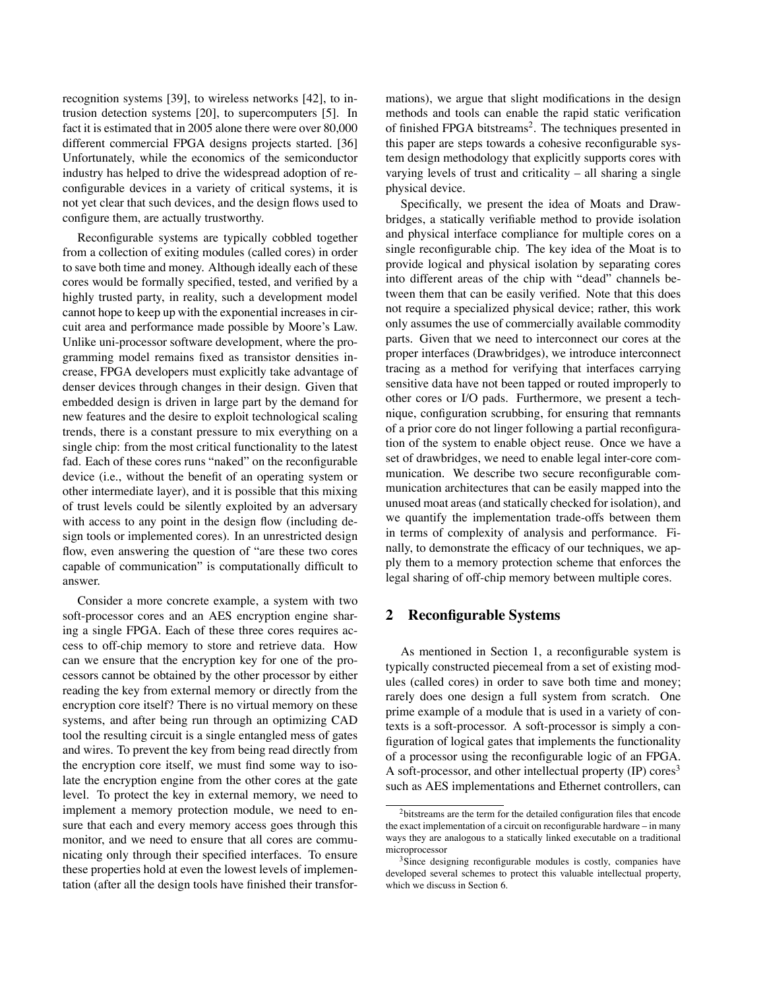recognition systems [39], to wireless networks [42], to intrusion detection systems [20], to supercomputers [5]. In fact it is estimated that in 2005 alone there were over 80,000 different commercial FPGA designs projects started. [36] Unfortunately, while the economics of the semiconductor industry has helped to drive the widespread adoption of reconfigurable devices in a variety of critical systems, it is not yet clear that such devices, and the design flows used to configure them, are actually trustworthy.

Reconfigurable systems are typically cobbled together from a collection of exiting modules (called cores) in order to save both time and money. Although ideally each of these cores would be formally specified, tested, and verified by a highly trusted party, in reality, such a development model cannot hope to keep up with the exponential increases in circuit area and performance made possible by Moore's Law. Unlike uni-processor software development, where the programming model remains fixed as transistor densities increase, FPGA developers must explicitly take advantage of denser devices through changes in their design. Given that embedded design is driven in large part by the demand for new features and the desire to exploit technological scaling trends, there is a constant pressure to mix everything on a single chip: from the most critical functionality to the latest fad. Each of these cores runs "naked" on the reconfigurable device (i.e., without the benefit of an operating system or other intermediate layer), and it is possible that this mixing of trust levels could be silently exploited by an adversary with access to any point in the design flow (including design tools or implemented cores). In an unrestricted design flow, even answering the question of "are these two cores capable of communication" is computationally difficult to answer.

Consider a more concrete example, a system with two soft-processor cores and an AES encryption engine sharing a single FPGA. Each of these three cores requires access to off-chip memory to store and retrieve data. How can we ensure that the encryption key for one of the processors cannot be obtained by the other processor by either reading the key from external memory or directly from the encryption core itself? There is no virtual memory on these systems, and after being run through an optimizing CAD tool the resulting circuit is a single entangled mess of gates and wires. To prevent the key from being read directly from the encryption core itself, we must find some way to isolate the encryption engine from the other cores at the gate level. To protect the key in external memory, we need to implement a memory protection module, we need to ensure that each and every memory access goes through this monitor, and we need to ensure that all cores are communicating only through their specified interfaces. To ensure these properties hold at even the lowest levels of implementation (after all the design tools have finished their transformations), we argue that slight modifications in the design methods and tools can enable the rapid static verification of finished FPGA bitstreams<sup>2</sup>. The techniques presented in this paper are steps towards a cohesive reconfigurable system design methodology that explicitly supports cores with varying levels of trust and criticality – all sharing a single physical device.

Specifically, we present the idea of Moats and Drawbridges, a statically verifiable method to provide isolation and physical interface compliance for multiple cores on a single reconfigurable chip. The key idea of the Moat is to provide logical and physical isolation by separating cores into different areas of the chip with "dead" channels between them that can be easily verified. Note that this does not require a specialized physical device; rather, this work only assumes the use of commercially available commodity parts. Given that we need to interconnect our cores at the proper interfaces (Drawbridges), we introduce interconnect tracing as a method for verifying that interfaces carrying sensitive data have not been tapped or routed improperly to other cores or I/O pads. Furthermore, we present a technique, configuration scrubbing, for ensuring that remnants of a prior core do not linger following a partial reconfiguration of the system to enable object reuse. Once we have a set of drawbridges, we need to enable legal inter-core communication. We describe two secure reconfigurable communication architectures that can be easily mapped into the unused moat areas (and statically checked for isolation), and we quantify the implementation trade-offs between them in terms of complexity of analysis and performance. Finally, to demonstrate the efficacy of our techniques, we apply them to a memory protection scheme that enforces the legal sharing of off-chip memory between multiple cores.

### **2 Reconfigurable Systems**

As mentioned in Section 1, a reconfigurable system is typically constructed piecemeal from a set of existing modules (called cores) in order to save both time and money; rarely does one design a full system from scratch. One prime example of a module that is used in a variety of contexts is a soft-processor. A soft-processor is simply a configuration of logical gates that implements the functionality of a processor using the reconfigurable logic of an FPGA. A soft-processor, and other intellectual property (IP) cores<sup>3</sup> such as AES implementations and Ethernet controllers, can

<sup>2</sup>bitstreams are the term for the detailed configuration files that encode the exact implementation of a circuit on reconfigurable hardware – in many ways they are analogous to a statically linked executable on a traditional microprocessor

<sup>&</sup>lt;sup>3</sup>Since designing reconfigurable modules is costly, companies have developed several schemes to protect this valuable intellectual property, which we discuss in Section 6.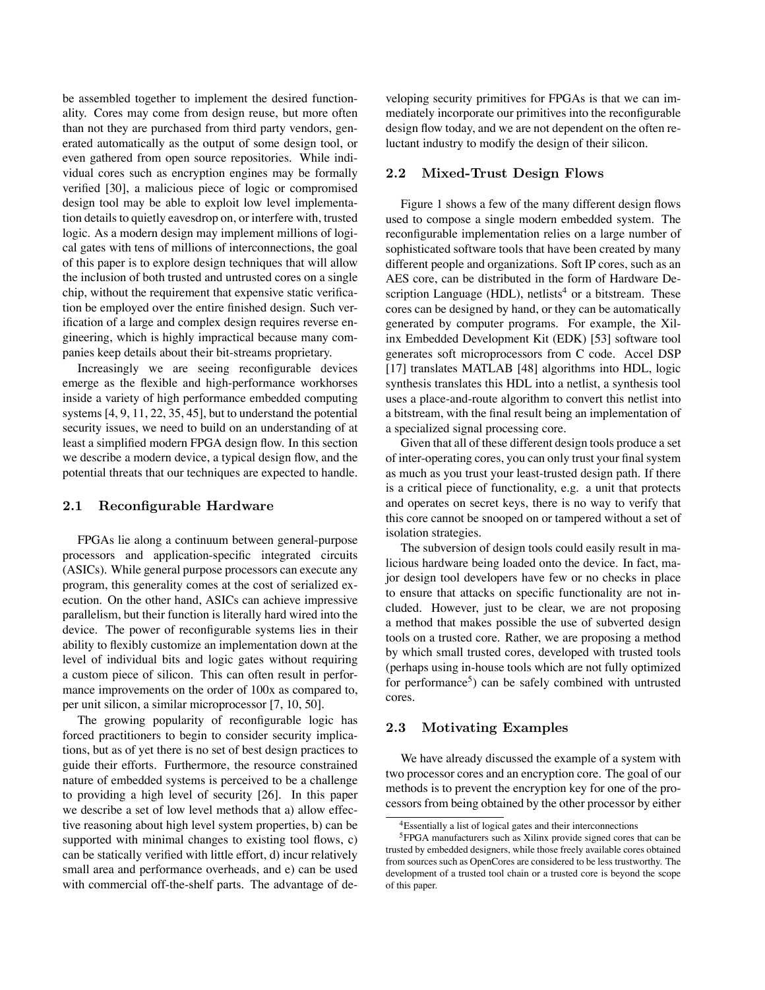be assembled together to implement the desired functionality. Cores may come from design reuse, but more often than not they are purchased from third party vendors, generated automatically as the output of some design tool, or even gathered from open source repositories. While individual cores such as encryption engines may be formally verified [30], a malicious piece of logic or compromised design tool may be able to exploit low level implementation details to quietly eavesdrop on, or interfere with, trusted logic. As a modern design may implement millions of logical gates with tens of millions of interconnections, the goal of this paper is to explore design techniques that will allow the inclusion of both trusted and untrusted cores on a single chip, without the requirement that expensive static verification be employed over the entire finished design. Such verification of a large and complex design requires reverse engineering, which is highly impractical because many companies keep details about their bit-streams proprietary.

Increasingly we are seeing reconfigurable devices emerge as the flexible and high-performance workhorses inside a variety of high performance embedded computing systems [4, 9, 11, 22, 35, 45], but to understand the potential security issues, we need to build on an understanding of at least a simplified modern FPGA design flow. In this section we describe a modern device, a typical design flow, and the potential threats that our techniques are expected to handle.

#### **2.1 Reconfigurable Hardware**

FPGAs lie along a continuum between general-purpose processors and application-specific integrated circuits (ASICs). While general purpose processors can execute any program, this generality comes at the cost of serialized execution. On the other hand, ASICs can achieve impressive parallelism, but their function is literally hard wired into the device. The power of reconfigurable systems lies in their ability to flexibly customize an implementation down at the level of individual bits and logic gates without requiring a custom piece of silicon. This can often result in performance improvements on the order of 100x as compared to, per unit silicon, a similar microprocessor [7, 10, 50].

The growing popularity of reconfigurable logic has forced practitioners to begin to consider security implications, but as of yet there is no set of best design practices to guide their efforts. Furthermore, the resource constrained nature of embedded systems is perceived to be a challenge to providing a high level of security [26]. In this paper we describe a set of low level methods that a) allow effective reasoning about high level system properties, b) can be supported with minimal changes to existing tool flows, c) can be statically verified with little effort, d) incur relatively small area and performance overheads, and e) can be used with commercial off-the-shelf parts. The advantage of developing security primitives for FPGAs is that we can immediately incorporate our primitives into the reconfigurable design flow today, and we are not dependent on the often reluctant industry to modify the design of their silicon.

#### **2.2 Mixed-Trust Design Flows**

Figure 1 shows a few of the many different design flows used to compose a single modern embedded system. The reconfigurable implementation relies on a large number of sophisticated software tools that have been created by many different people and organizations. Soft IP cores, such as an AES core, can be distributed in the form of Hardware Description Language (HDL), netlists<sup>4</sup> or a bitstream. These cores can be designed by hand, or they can be automatically generated by computer programs. For example, the Xilinx Embedded Development Kit (EDK) [53] software tool generates soft microprocessors from C code. Accel DSP [17] translates MATLAB [48] algorithms into HDL, logic synthesis translates this HDL into a netlist, a synthesis tool uses a place-and-route algorithm to convert this netlist into a bitstream, with the final result being an implementation of a specialized signal processing core.

Given that all of these different design tools produce a set of inter-operating cores, you can only trust your final system as much as you trust your least-trusted design path. If there is a critical piece of functionality, e.g. a unit that protects and operates on secret keys, there is no way to verify that this core cannot be snooped on or tampered without a set of isolation strategies.

The subversion of design tools could easily result in malicious hardware being loaded onto the device. In fact, major design tool developers have few or no checks in place to ensure that attacks on specific functionality are not included. However, just to be clear, we are not proposing a method that makes possible the use of subverted design tools on a trusted core. Rather, we are proposing a method by which small trusted cores, developed with trusted tools (perhaps using in-house tools which are not fully optimized for performance<sup>5</sup>) can be safely combined with untrusted cores.

#### **2.3 Motivating Examples**

We have already discussed the example of a system with two processor cores and an encryption core. The goal of our methods is to prevent the encryption key for one of the processors from being obtained by the other processor by either

<sup>&</sup>lt;sup>4</sup>Essentially a list of logical gates and their interconnections

<sup>5</sup>FPGA manufacturers such as Xilinx provide signed cores that can be trusted by embedded designers, while those freely available cores obtained from sources such as OpenCores are considered to be less trustworthy. The development of a trusted tool chain or a trusted core is beyond the scope of this paper.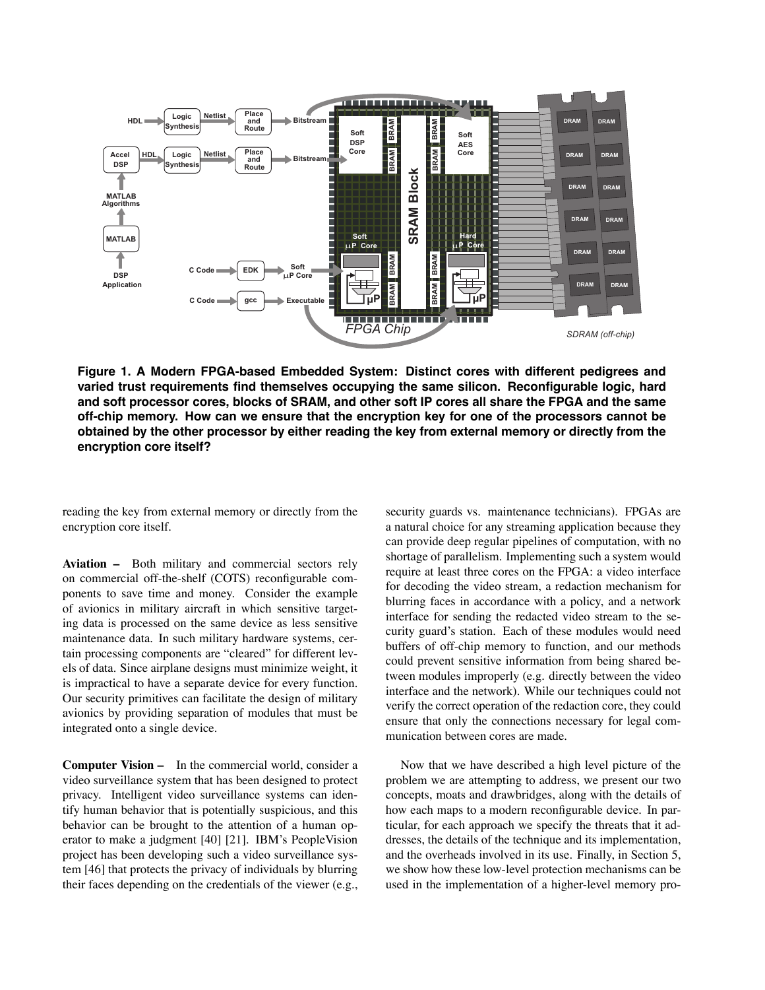

**Figure 1. A Modern FPGA-based Embedded System: Distinct cores with different pedigrees and varied trust requirements find themselves occupying the same silicon. Reconfigurable logic, hard and soft processor cores, blocks of SRAM, and other soft IP cores all share the FPGA and the same off-chip memory. How can we ensure that the encryption key for one of the processors cannot be obtained by the other processor by either reading the key from external memory or directly from the encryption core itself?**

reading the key from external memory or directly from the encryption core itself.

**Aviation –** Both military and commercial sectors rely on commercial off-the-shelf (COTS) reconfigurable components to save time and money. Consider the example of avionics in military aircraft in which sensitive targeting data is processed on the same device as less sensitive maintenance data. In such military hardware systems, certain processing components are "cleared" for different levels of data. Since airplane designs must minimize weight, it is impractical to have a separate device for every function. Our security primitives can facilitate the design of military avionics by providing separation of modules that must be integrated onto a single device.

**Computer Vision –** In the commercial world, consider a video surveillance system that has been designed to protect privacy. Intelligent video surveillance systems can identify human behavior that is potentially suspicious, and this behavior can be brought to the attention of a human operator to make a judgment [40] [21]. IBM's PeopleVision project has been developing such a video surveillance system [46] that protects the privacy of individuals by blurring their faces depending on the credentials of the viewer (e.g.,

security guards vs. maintenance technicians). FPGAs are a natural choice for any streaming application because they can provide deep regular pipelines of computation, with no shortage of parallelism. Implementing such a system would require at least three cores on the FPGA: a video interface for decoding the video stream, a redaction mechanism for blurring faces in accordance with a policy, and a network interface for sending the redacted video stream to the security guard's station. Each of these modules would need buffers of off-chip memory to function, and our methods could prevent sensitive information from being shared between modules improperly (e.g. directly between the video interface and the network). While our techniques could not verify the correct operation of the redaction core, they could ensure that only the connections necessary for legal communication between cores are made.

Now that we have described a high level picture of the problem we are attempting to address, we present our two concepts, moats and drawbridges, along with the details of how each maps to a modern reconfigurable device. In particular, for each approach we specify the threats that it addresses, the details of the technique and its implementation, and the overheads involved in its use. Finally, in Section 5, we show how these low-level protection mechanisms can be used in the implementation of a higher-level memory pro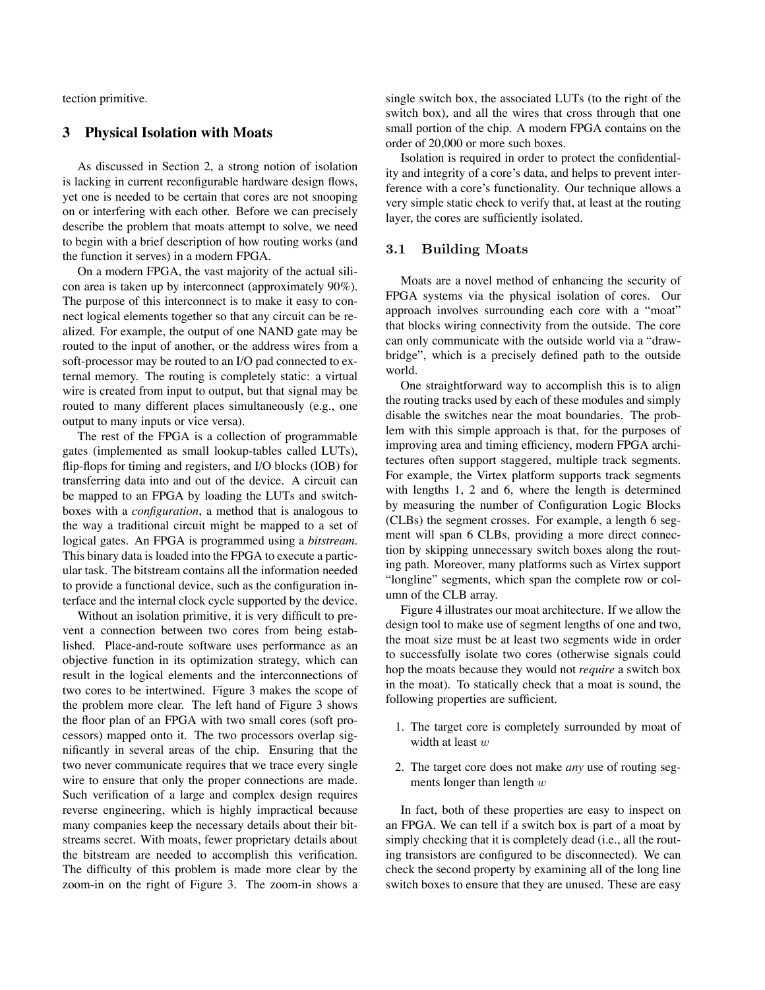tection primitive.

### **3 Physical Isolation with Moats**

As discussed in Section 2, a strong notion of isolation is lacking in current reconfigurable hardware design flows, yet one is needed to be certain that cores are not snooping on or interfering with each other. Before we can precisely describe the problem that moats attempt to solve, we need to begin with a brief description of how routing works (and the function it serves) in a modern FPGA.

On a modern FPGA, the vast majority of the actual silicon area is taken up by interconnect (approximately 90%). The purpose of this interconnect is to make it easy to connect logical elements together so that any circuit can be realized. For example, the output of one NAND gate may be routed to the input of another, or the address wires from a soft-processor may be routed to an I/O pad connected to external memory. The routing is completely static: a virtual wire is created from input to output, but that signal may be routed to many different places simultaneously (e.g., one output to many inputs or vice versa).

The rest of the FPGA is a collection of programmable gates (implemented as small lookup-tables called LUTs), flip-flops for timing and registers, and I/O blocks (IOB) for transferring data into and out of the device. A circuit can be mapped to an FPGA by loading the LUTs and switchboxes with a *configuration*, a method that is analogous to the way a traditional circuit might be mapped to a set of logical gates. An FPGA is programmed using a *bitstream*. This binary data is loaded into the FPGA to execute a particular task. The bitstream contains all the information needed to provide a functional device, such as the configuration interface and the internal clock cycle supported by the device.

Without an isolation primitive, it is very difficult to prevent a connection between two cores from being established. Place-and-route software uses performance as an objective function in its optimization strategy, which can result in the logical elements and the interconnections of two cores to be intertwined. Figure 3 makes the scope of the problem more clear. The left hand of Figure 3 shows the floor plan of an FPGA with two small cores (soft processors) mapped onto it. The two processors overlap significantly in several areas of the chip. Ensuring that the two never communicate requires that we trace every single wire to ensure that only the proper connections are made. Such verification of a large and complex design requires reverse engineering, which is highly impractical because many companies keep the necessary details about their bitstreams secret. With moats, fewer proprietary details about the bitstream are needed to accomplish this verification. The difficulty of this problem is made more clear by the zoom-in on the right of Figure 3. The zoom-in shows a single switch box, the associated LUTs (to the right of the switch box), and all the wires that cross through that one small portion of the chip. A modern FPGA contains on the order of 20,000 or more such boxes.

Isolation is required in order to protect the confidentiality and integrity of a core's data, and helps to prevent interference with a core's functionality. Our technique allows a very simple static check to verify that, at least at the routing layer, the cores are sufficiently isolated.

#### **3.1 Building Moats**

Moats are a novel method of enhancing the security of FPGA systems via the physical isolation of cores. Our approach involves surrounding each core with a "moat" that blocks wiring connectivity from the outside. The core can only communicate with the outside world via a "drawbridge", which is a precisely defined path to the outside world.

One straightforward way to accomplish this is to align the routing tracks used by each of these modules and simply disable the switches near the moat boundaries. The problem with this simple approach is that, for the purposes of improving area and timing efficiency, modern FPGA architectures often support staggered, multiple track segments. For example, the Virtex platform supports track segments with lengths 1, 2 and 6, where the length is determined by measuring the number of Configuration Logic Blocks (CLBs) the segment crosses. For example, a length 6 segment will span 6 CLBs, providing a more direct connection by skipping unnecessary switch boxes along the routing path. Moreover, many platforms such as Virtex support "longline" segments, which span the complete row or column of the CLB array.

Figure 4 illustrates our moat architecture. If we allow the design tool to make use of segment lengths of one and two, the moat size must be at least two segments wide in order to successfully isolate two cores (otherwise signals could hop the moats because they would not *require* a switch box in the moat). To statically check that a moat is sound, the following properties are sufficient.

- 1. The target core is completely surrounded by moat of width at least *w*
- 2. The target core does not make *any* use of routing segments longer than length *w*

In fact, both of these properties are easy to inspect on an FPGA. We can tell if a switch box is part of a moat by simply checking that it is completely dead (i.e., all the routing transistors are configured to be disconnected). We can check the second property by examining all of the long line switch boxes to ensure that they are unused. These are easy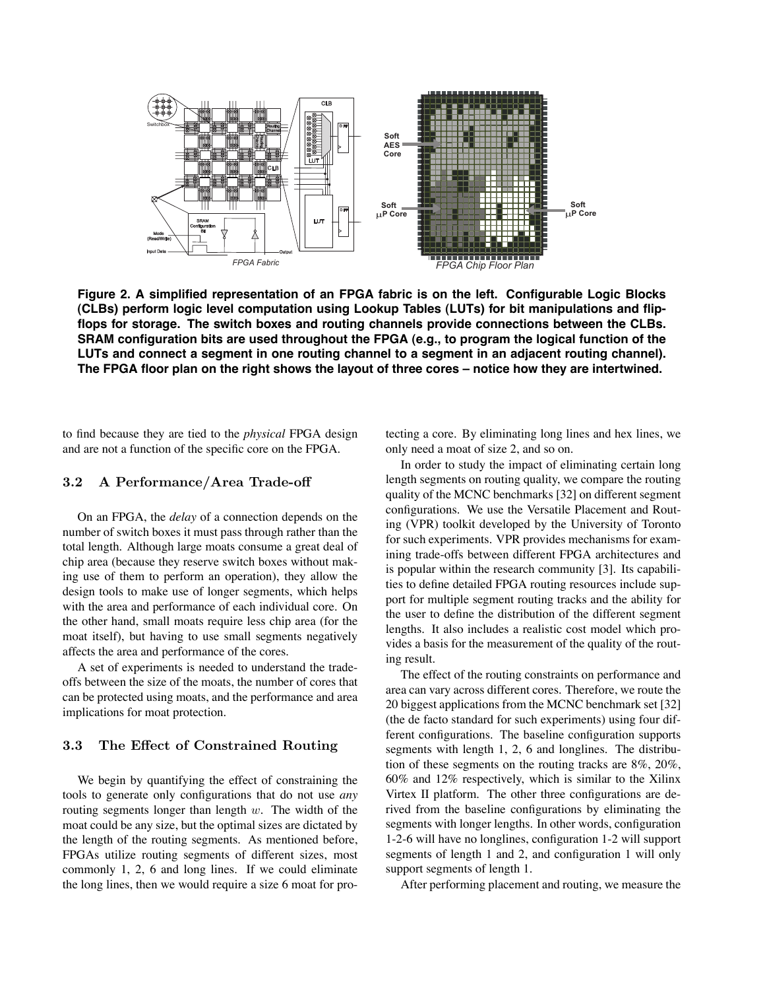

**Figure 2. A simplified representation of an FPGA fabric is on the left. Configurable Logic Blocks (CLBs) perform logic level computation using Lookup Tables (LUTs) for bit manipulations and flipflops for storage. The switch boxes and routing channels provide connections between the CLBs. SRAM configuration bits are used throughout the FPGA (e.g., to program the logical function of the LUTs and connect a segment in one routing channel to a segment in an adjacent routing channel). The FPGA floor plan on the right shows the layout of three cores – notice how they are intertwined.**

to find because they are tied to the *physical* FPGA design and are not a function of the specific core on the FPGA.

#### **3.2 A Performance/Area Trade-off**

On an FPGA, the *delay* of a connection depends on the number of switch boxes it must pass through rather than the total length. Although large moats consume a great deal of chip area (because they reserve switch boxes without making use of them to perform an operation), they allow the design tools to make use of longer segments, which helps with the area and performance of each individual core. On the other hand, small moats require less chip area (for the moat itself), but having to use small segments negatively affects the area and performance of the cores.

A set of experiments is needed to understand the tradeoffs between the size of the moats, the number of cores that can be protected using moats, and the performance and area implications for moat protection.

#### **3.3 The Effect of Constrained Routing**

We begin by quantifying the effect of constraining the tools to generate only configurations that do not use *any* routing segments longer than length *w*. The width of the moat could be any size, but the optimal sizes are dictated by the length of the routing segments. As mentioned before, FPGAs utilize routing segments of different sizes, most commonly 1, 2, 6 and long lines. If we could eliminate the long lines, then we would require a size 6 moat for protecting a core. By eliminating long lines and hex lines, we only need a moat of size 2, and so on.

In order to study the impact of eliminating certain long length segments on routing quality, we compare the routing quality of the MCNC benchmarks [32] on different segment configurations. We use the Versatile Placement and Routing (VPR) toolkit developed by the University of Toronto for such experiments. VPR provides mechanisms for examining trade-offs between different FPGA architectures and is popular within the research community [3]. Its capabilities to define detailed FPGA routing resources include support for multiple segment routing tracks and the ability for the user to define the distribution of the different segment lengths. It also includes a realistic cost model which provides a basis for the measurement of the quality of the routing result.

The effect of the routing constraints on performance and area can vary across different cores. Therefore, we route the 20 biggest applications from the MCNC benchmark set [32] (the de facto standard for such experiments) using four different configurations. The baseline configuration supports segments with length 1, 2, 6 and longlines. The distribution of these segments on the routing tracks are 8%, 20%, 60% and 12% respectively, which is similar to the Xilinx Virtex II platform. The other three configurations are derived from the baseline configurations by eliminating the segments with longer lengths. In other words, configuration 1-2-6 will have no longlines, configuration 1-2 will support segments of length 1 and 2, and configuration 1 will only support segments of length 1.

After performing placement and routing, we measure the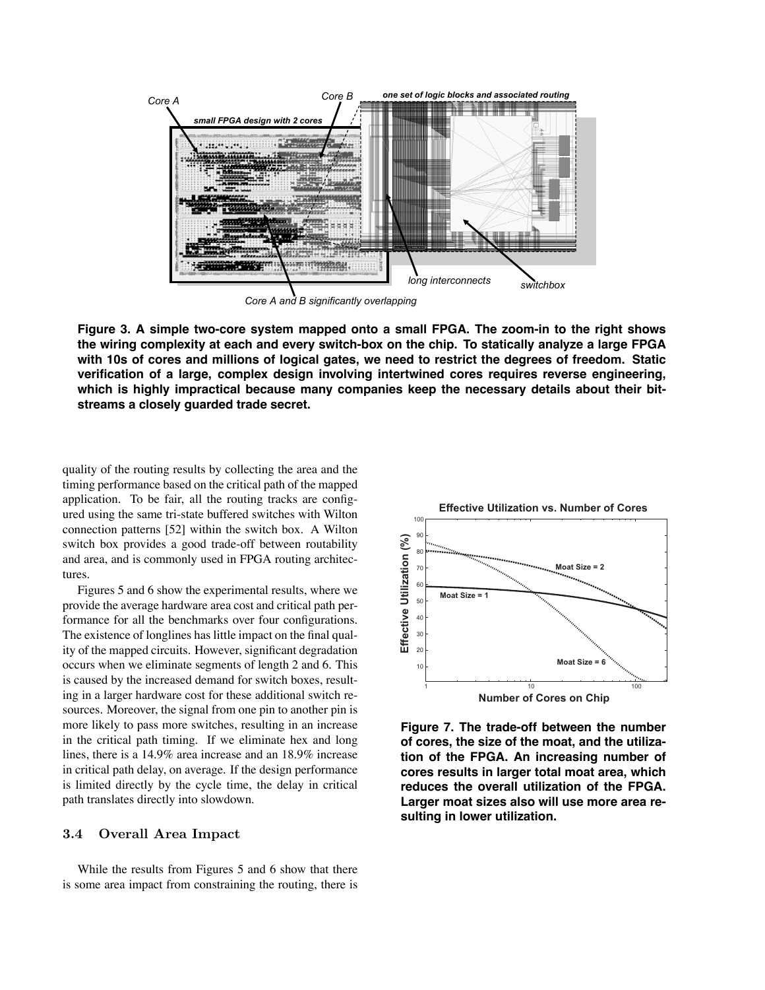

**Figure 3. A simple two-core system mapped onto a small FPGA. The zoom-in to the right shows the wiring complexity at each and every switch-box on the chip. To statically analyze a large FPGA with 10s of cores and millions of logical gates, we need to restrict the degrees of freedom. Static verification of a large, complex design involving intertwined cores requires reverse engineering, which is highly impractical because many companies keep the necessary details about their bitstreams a closely guarded trade secret.**

quality of the routing results by collecting the area and the timing performance based on the critical path of the mapped application. To be fair, all the routing tracks are configured using the same tri-state buffered switches with Wilton connection patterns [52] within the switch box. A Wilton switch box provides a good trade-off between routability and area, and is commonly used in FPGA routing architectures.

Figures 5 and 6 show the experimental results, where we provide the average hardware area cost and critical path performance for all the benchmarks over four configurations. The existence of longlines has little impact on the final quality of the mapped circuits. However, significant degradation occurs when we eliminate segments of length 2 and 6. This is caused by the increased demand for switch boxes, resulting in a larger hardware cost for these additional switch resources. Moreover, the signal from one pin to another pin is more likely to pass more switches, resulting in an increase in the critical path timing. If we eliminate hex and long lines, there is a 14.9% area increase and an 18.9% increase in critical path delay, on average. If the design performance is limited directly by the cycle time, the delay in critical path translates directly into slowdown.

#### **3.4 Overall Area Impact**

While the results from Figures 5 and 6 show that there is some area impact from constraining the routing, there is



**Figure 7. The trade-off between the number of cores, the size of the moat, and the utilization of the FPGA. An increasing number of cores results in larger total moat area, which reduces the overall utilization of the FPGA. Larger moat sizes also will use more area resulting in lower utilization.**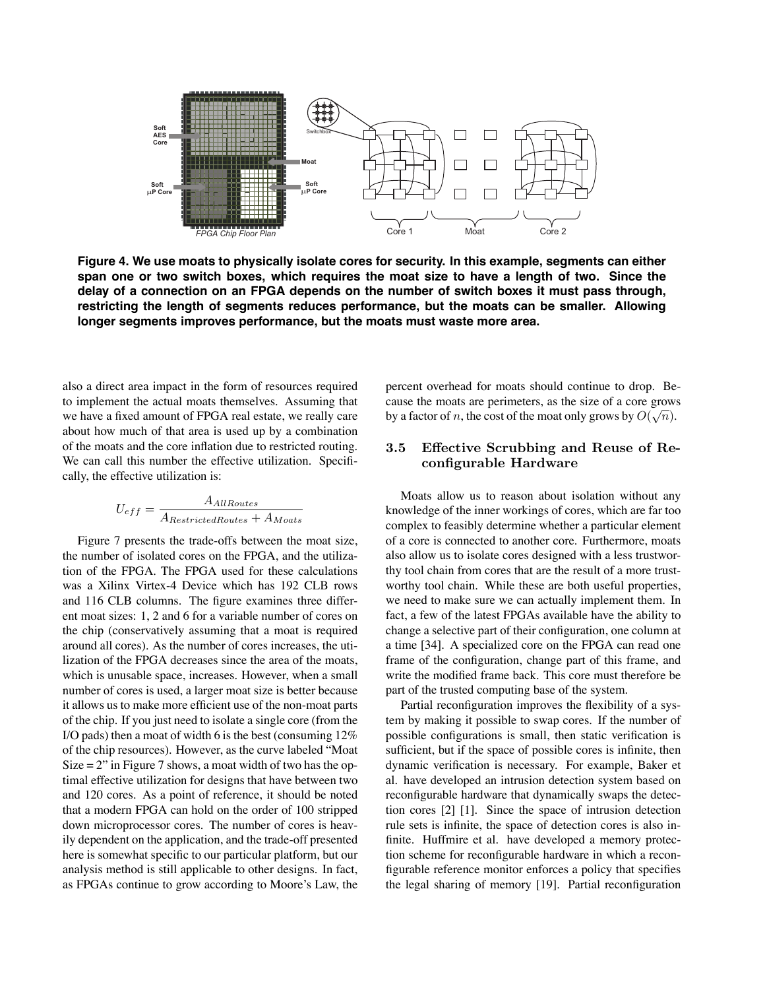

**Figure 4. We use moats to physically isolate cores for security. In this example, segments can either span one or two switch boxes, which requires the moat size to have a length of two. Since the delay of a connection on an FPGA depends on the number of switch boxes it must pass through, restricting the length of segments reduces performance, but the moats can be smaller. Allowing longer segments improves performance, but the moats must waste more area.**

also a direct area impact in the form of resources required to implement the actual moats themselves. Assuming that we have a fixed amount of FPGA real estate, we really care about how much of that area is used up by a combination of the moats and the core inflation due to restricted routing. We can call this number the effective utilization. Specifically, the effective utilization is:

$$
U_{eff} = \frac{A_{AllRoutes}}{A_{RestrictedRoutes} + A_{Moats}}
$$

Figure 7 presents the trade-offs between the moat size, the number of isolated cores on the FPGA, and the utilization of the FPGA. The FPGA used for these calculations was a Xilinx Virtex-4 Device which has 192 CLB rows and 116 CLB columns. The figure examines three different moat sizes: 1, 2 and 6 for a variable number of cores on the chip (conservatively assuming that a moat is required around all cores). As the number of cores increases, the utilization of the FPGA decreases since the area of the moats, which is unusable space, increases. However, when a small number of cores is used, a larger moat size is better because it allows us to make more efficient use of the non-moat parts of the chip. If you just need to isolate a single core (from the I/O pads) then a moat of width 6 is the best (consuming 12% of the chip resources). However, as the curve labeled "Moat  $Size = 2$ " in Figure 7 shows, a moat width of two has the optimal effective utilization for designs that have between two and 120 cores. As a point of reference, it should be noted that a modern FPGA can hold on the order of 100 stripped down microprocessor cores. The number of cores is heavily dependent on the application, and the trade-off presented here is somewhat specific to our particular platform, but our analysis method is still applicable to other designs. In fact, as FPGAs continue to grow according to Moore's Law, the percent overhead for moats should continue to drop. Because the moats are perimeters, as the size of a core grows by a factor of *n*, the cost of the moat only grows by  $O(\sqrt{n})$ .

### **3.5 Effective Scrubbing and Reuse of Reconfigurable Hardware**

Moats allow us to reason about isolation without any knowledge of the inner workings of cores, which are far too complex to feasibly determine whether a particular element of a core is connected to another core. Furthermore, moats also allow us to isolate cores designed with a less trustworthy tool chain from cores that are the result of a more trustworthy tool chain. While these are both useful properties, we need to make sure we can actually implement them. In fact, a few of the latest FPGAs available have the ability to change a selective part of their configuration, one column at a time [34]. A specialized core on the FPGA can read one frame of the configuration, change part of this frame, and write the modified frame back. This core must therefore be part of the trusted computing base of the system.

Partial reconfiguration improves the flexibility of a system by making it possible to swap cores. If the number of possible configurations is small, then static verification is sufficient, but if the space of possible cores is infinite, then dynamic verification is necessary. For example, Baker et al. have developed an intrusion detection system based on reconfigurable hardware that dynamically swaps the detection cores [2] [1]. Since the space of intrusion detection rule sets is infinite, the space of detection cores is also infinite. Huffmire et al. have developed a memory protection scheme for reconfigurable hardware in which a reconfigurable reference monitor enforces a policy that specifies the legal sharing of memory [19]. Partial reconfiguration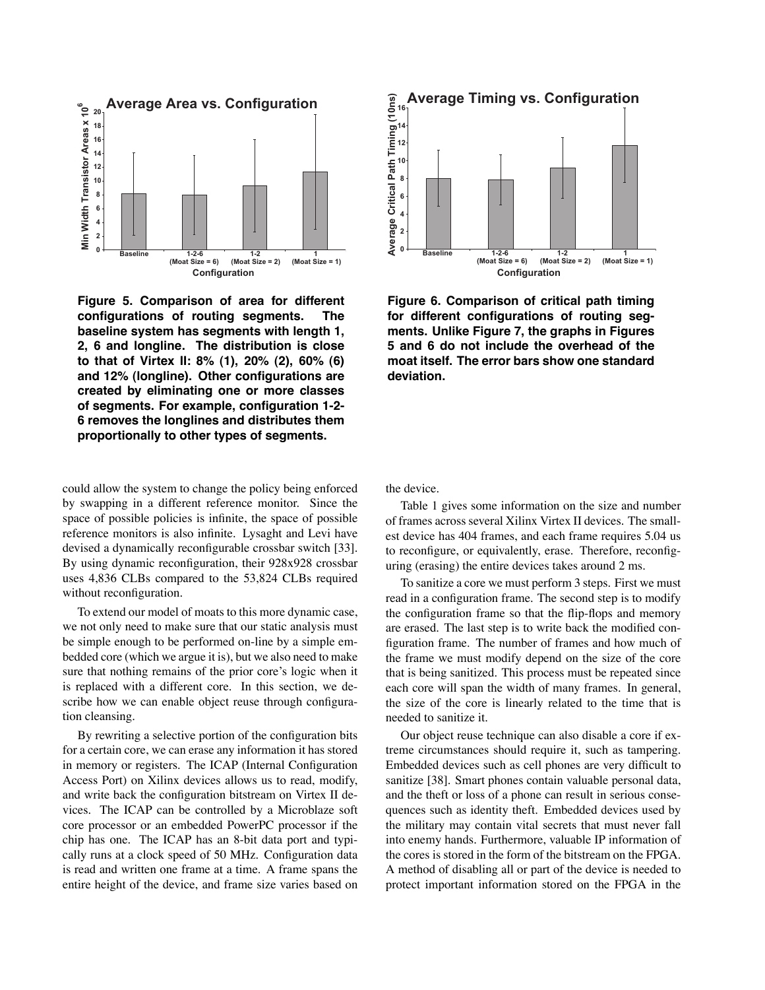

**Figure 5. Comparison of area for different configurations of routing segments. The baseline system has segments with length 1, 2, 6 and longline. The distribution is close to that of Virtex II: 8% (1), 20% (2), 60% (6) and 12% (longline). Other configurations are created by eliminating one or more classes of segments. For example, configuration 1-2- 6 removes the longlines and distributes them proportionally to other types of segments.**

could allow the system to change the policy being enforced by swapping in a different reference monitor. Since the space of possible policies is infinite, the space of possible reference monitors is also infinite. Lysaght and Levi have devised a dynamically reconfigurable crossbar switch [33]. By using dynamic reconfiguration, their 928x928 crossbar uses 4,836 CLBs compared to the 53,824 CLBs required without reconfiguration.

To extend our model of moats to this more dynamic case, we not only need to make sure that our static analysis must be simple enough to be performed on-line by a simple embedded core (which we argue it is), but we also need to make sure that nothing remains of the prior core's logic when it is replaced with a different core. In this section, we describe how we can enable object reuse through configuration cleansing.

By rewriting a selective portion of the configuration bits for a certain core, we can erase any information it has stored in memory or registers. The ICAP (Internal Configuration Access Port) on Xilinx devices allows us to read, modify, and write back the configuration bitstream on Virtex II devices. The ICAP can be controlled by a Microblaze soft core processor or an embedded PowerPC processor if the chip has one. The ICAP has an 8-bit data port and typically runs at a clock speed of 50 MHz. Configuration data is read and written one frame at a time. A frame spans the entire height of the device, and frame size varies based on



**Figure 6. Comparison of critical path timing for different configurations of routing segments. Unlike Figure 7, the graphs in Figures 5 and 6 do not include the overhead of the moat itself. The error bars show one standard deviation.**

the device.

Table 1 gives some information on the size and number of frames across several Xilinx Virtex II devices. The smallest device has 404 frames, and each frame requires 5.04 us to reconfigure, or equivalently, erase. Therefore, reconfiguring (erasing) the entire devices takes around 2 ms.

To sanitize a core we must perform 3 steps. First we must read in a configuration frame. The second step is to modify the configuration frame so that the flip-flops and memory are erased. The last step is to write back the modified configuration frame. The number of frames and how much of the frame we must modify depend on the size of the core that is being sanitized. This process must be repeated since each core will span the width of many frames. In general, the size of the core is linearly related to the time that is needed to sanitize it.

Our object reuse technique can also disable a core if extreme circumstances should require it, such as tampering. Embedded devices such as cell phones are very difficult to sanitize [38]. Smart phones contain valuable personal data, and the theft or loss of a phone can result in serious consequences such as identity theft. Embedded devices used by the military may contain vital secrets that must never fall into enemy hands. Furthermore, valuable IP information of the cores is stored in the form of the bitstream on the FPGA. A method of disabling all or part of the device is needed to protect important information stored on the FPGA in the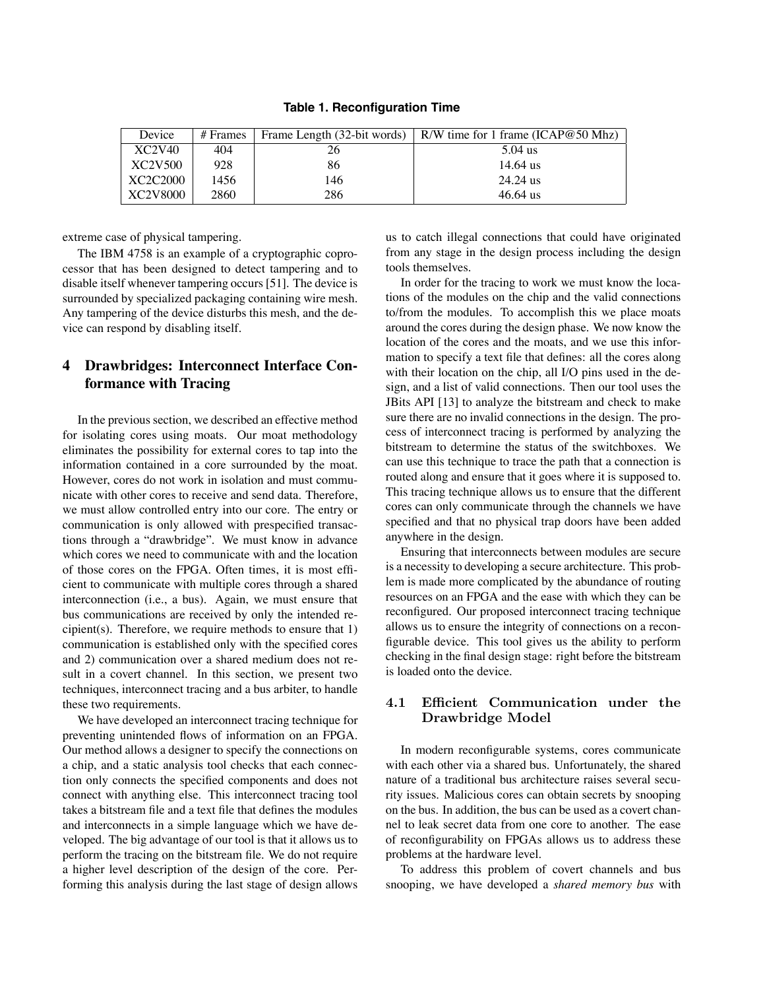| Device   | # Frames |     | Frame Length (32-bit words)   R/W time for 1 frame (ICAP@50 Mhz) |
|----------|----------|-----|------------------------------------------------------------------|
| XC2V40   | 404      | 26  | 5.04 us                                                          |
| XC2V500  | 928      | 86  | 14.64 us                                                         |
| XC2C2000 | 1456     | 146 | 24.24 us                                                         |
| XC2V8000 | 2860     | 286 | $46.64$ us                                                       |

**Table 1. Reconfiguration Time**

extreme case of physical tampering.

The IBM 4758 is an example of a cryptographic coprocessor that has been designed to detect tampering and to disable itself whenever tampering occurs [51]. The device is surrounded by specialized packaging containing wire mesh. Any tampering of the device disturbs this mesh, and the device can respond by disabling itself.

# **4 Drawbridges: Interconnect Interface Conformance with Tracing**

In the previous section, we described an effective method for isolating cores using moats. Our moat methodology eliminates the possibility for external cores to tap into the information contained in a core surrounded by the moat. However, cores do not work in isolation and must communicate with other cores to receive and send data. Therefore, we must allow controlled entry into our core. The entry or communication is only allowed with prespecified transactions through a "drawbridge". We must know in advance which cores we need to communicate with and the location of those cores on the FPGA. Often times, it is most efficient to communicate with multiple cores through a shared interconnection (i.e., a bus). Again, we must ensure that bus communications are received by only the intended recipient(s). Therefore, we require methods to ensure that 1) communication is established only with the specified cores and 2) communication over a shared medium does not result in a covert channel. In this section, we present two techniques, interconnect tracing and a bus arbiter, to handle these two requirements.

We have developed an interconnect tracing technique for preventing unintended flows of information on an FPGA. Our method allows a designer to specify the connections on a chip, and a static analysis tool checks that each connection only connects the specified components and does not connect with anything else. This interconnect tracing tool takes a bitstream file and a text file that defines the modules and interconnects in a simple language which we have developed. The big advantage of our tool is that it allows us to perform the tracing on the bitstream file. We do not require a higher level description of the design of the core. Performing this analysis during the last stage of design allows

us to catch illegal connections that could have originated from any stage in the design process including the design tools themselves.

In order for the tracing to work we must know the locations of the modules on the chip and the valid connections to/from the modules. To accomplish this we place moats around the cores during the design phase. We now know the location of the cores and the moats, and we use this information to specify a text file that defines: all the cores along with their location on the chip, all I/O pins used in the design, and a list of valid connections. Then our tool uses the JBits API [13] to analyze the bitstream and check to make sure there are no invalid connections in the design. The process of interconnect tracing is performed by analyzing the bitstream to determine the status of the switchboxes. We can use this technique to trace the path that a connection is routed along and ensure that it goes where it is supposed to. This tracing technique allows us to ensure that the different cores can only communicate through the channels we have specified and that no physical trap doors have been added anywhere in the design.

Ensuring that interconnects between modules are secure is a necessity to developing a secure architecture. This problem is made more complicated by the abundance of routing resources on an FPGA and the ease with which they can be reconfigured. Our proposed interconnect tracing technique allows us to ensure the integrity of connections on a reconfigurable device. This tool gives us the ability to perform checking in the final design stage: right before the bitstream is loaded onto the device.

### **4.1 Efficient Communication under the Drawbridge Model**

In modern reconfigurable systems, cores communicate with each other via a shared bus. Unfortunately, the shared nature of a traditional bus architecture raises several security issues. Malicious cores can obtain secrets by snooping on the bus. In addition, the bus can be used as a covert channel to leak secret data from one core to another. The ease of reconfigurability on FPGAs allows us to address these problems at the hardware level.

To address this problem of covert channels and bus snooping, we have developed a *shared memory bus* with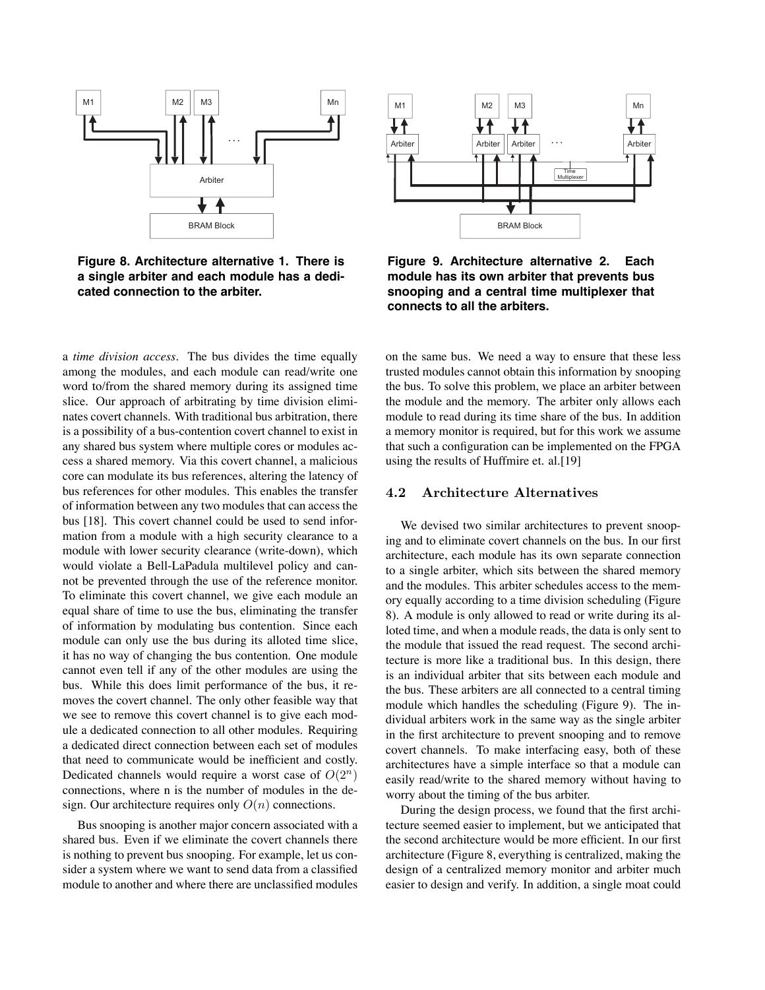

**Figure 8. Architecture alternative 1. There is a single arbiter and each module has a dedicated connection to the arbiter.**

a *time division access*. The bus divides the time equally among the modules, and each module can read/write one word to/from the shared memory during its assigned time slice. Our approach of arbitrating by time division eliminates covert channels. With traditional bus arbitration, there is a possibility of a bus-contention covert channel to exist in any shared bus system where multiple cores or modules access a shared memory. Via this covert channel, a malicious core can modulate its bus references, altering the latency of bus references for other modules. This enables the transfer of information between any two modules that can access the bus [18]. This covert channel could be used to send information from a module with a high security clearance to a module with lower security clearance (write-down), which would violate a Bell-LaPadula multilevel policy and cannot be prevented through the use of the reference monitor. To eliminate this covert channel, we give each module an equal share of time to use the bus, eliminating the transfer of information by modulating bus contention. Since each module can only use the bus during its alloted time slice, it has no way of changing the bus contention. One module cannot even tell if any of the other modules are using the bus. While this does limit performance of the bus, it removes the covert channel. The only other feasible way that we see to remove this covert channel is to give each module a dedicated connection to all other modules. Requiring a dedicated direct connection between each set of modules that need to communicate would be inefficient and costly. Dedicated channels would require a worst case of  $O(2^n)$ connections, where n is the number of modules in the design. Our architecture requires only  $O(n)$  connections.

Bus snooping is another major concern associated with a shared bus. Even if we eliminate the covert channels there is nothing to prevent bus snooping. For example, let us consider a system where we want to send data from a classified module to another and where there are unclassified modules



**Figure 9. Architecture alternative 2. Each module has its own arbiter that prevents bus snooping and a central time multiplexer that connects to all the arbiters.**

on the same bus. We need a way to ensure that these less trusted modules cannot obtain this information by snooping the bus. To solve this problem, we place an arbiter between the module and the memory. The arbiter only allows each module to read during its time share of the bus. In addition a memory monitor is required, but for this work we assume that such a configuration can be implemented on the FPGA using the results of Huffmire et. al.[19]

### **4.2 Architecture Alternatives**

We devised two similar architectures to prevent snooping and to eliminate covert channels on the bus. In our first architecture, each module has its own separate connection to a single arbiter, which sits between the shared memory and the modules. This arbiter schedules access to the memory equally according to a time division scheduling (Figure 8). A module is only allowed to read or write during its alloted time, and when a module reads, the data is only sent to the module that issued the read request. The second architecture is more like a traditional bus. In this design, there is an individual arbiter that sits between each module and the bus. These arbiters are all connected to a central timing module which handles the scheduling (Figure 9). The individual arbiters work in the same way as the single arbiter in the first architecture to prevent snooping and to remove covert channels. To make interfacing easy, both of these architectures have a simple interface so that a module can easily read/write to the shared memory without having to worry about the timing of the bus arbiter.

During the design process, we found that the first architecture seemed easier to implement, but we anticipated that the second architecture would be more efficient. In our first architecture (Figure 8, everything is centralized, making the design of a centralized memory monitor and arbiter much easier to design and verify. In addition, a single moat could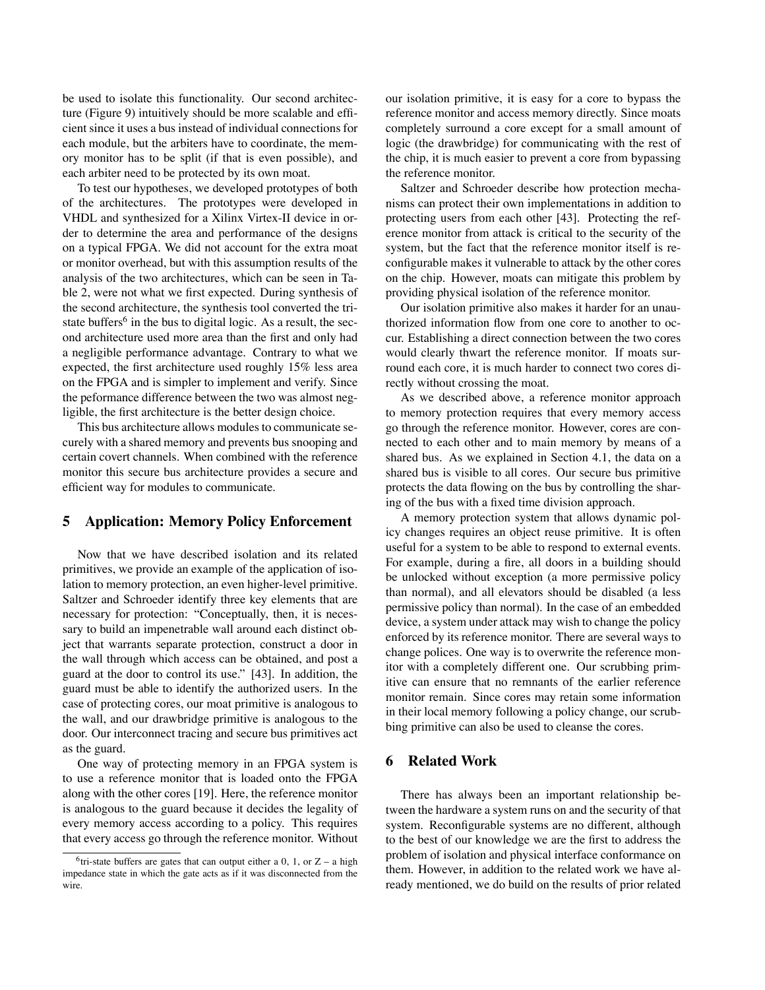be used to isolate this functionality. Our second architecture (Figure 9) intuitively should be more scalable and efficient since it uses a bus instead of individual connections for each module, but the arbiters have to coordinate, the memory monitor has to be split (if that is even possible), and each arbiter need to be protected by its own moat.

To test our hypotheses, we developed prototypes of both of the architectures. The prototypes were developed in VHDL and synthesized for a Xilinx Virtex-II device in order to determine the area and performance of the designs on a typical FPGA. We did not account for the extra moat or monitor overhead, but with this assumption results of the analysis of the two architectures, which can be seen in Table 2, were not what we first expected. During synthesis of the second architecture, the synthesis tool converted the tristate buffers<sup>6</sup> in the bus to digital logic. As a result, the second architecture used more area than the first and only had a negligible performance advantage. Contrary to what we expected, the first architecture used roughly 15% less area on the FPGA and is simpler to implement and verify. Since the peformance difference between the two was almost negligible, the first architecture is the better design choice.

This bus architecture allows modules to communicate securely with a shared memory and prevents bus snooping and certain covert channels. When combined with the reference monitor this secure bus architecture provides a secure and efficient way for modules to communicate.

### **5 Application: Memory Policy Enforcement**

Now that we have described isolation and its related primitives, we provide an example of the application of isolation to memory protection, an even higher-level primitive. Saltzer and Schroeder identify three key elements that are necessary for protection: "Conceptually, then, it is necessary to build an impenetrable wall around each distinct object that warrants separate protection, construct a door in the wall through which access can be obtained, and post a guard at the door to control its use." [43]. In addition, the guard must be able to identify the authorized users. In the case of protecting cores, our moat primitive is analogous to the wall, and our drawbridge primitive is analogous to the door. Our interconnect tracing and secure bus primitives act as the guard.

One way of protecting memory in an FPGA system is to use a reference monitor that is loaded onto the FPGA along with the other cores [19]. Here, the reference monitor is analogous to the guard because it decides the legality of every memory access according to a policy. This requires that every access go through the reference monitor. Without our isolation primitive, it is easy for a core to bypass the reference monitor and access memory directly. Since moats completely surround a core except for a small amount of logic (the drawbridge) for communicating with the rest of the chip, it is much easier to prevent a core from bypassing the reference monitor.

Saltzer and Schroeder describe how protection mechanisms can protect their own implementations in addition to protecting users from each other [43]. Protecting the reference monitor from attack is critical to the security of the system, but the fact that the reference monitor itself is reconfigurable makes it vulnerable to attack by the other cores on the chip. However, moats can mitigate this problem by providing physical isolation of the reference monitor.

Our isolation primitive also makes it harder for an unauthorized information flow from one core to another to occur. Establishing a direct connection between the two cores would clearly thwart the reference monitor. If moats surround each core, it is much harder to connect two cores directly without crossing the moat.

As we described above, a reference monitor approach to memory protection requires that every memory access go through the reference monitor. However, cores are connected to each other and to main memory by means of a shared bus. As we explained in Section 4.1, the data on a shared bus is visible to all cores. Our secure bus primitive protects the data flowing on the bus by controlling the sharing of the bus with a fixed time division approach.

A memory protection system that allows dynamic policy changes requires an object reuse primitive. It is often useful for a system to be able to respond to external events. For example, during a fire, all doors in a building should be unlocked without exception (a more permissive policy than normal), and all elevators should be disabled (a less permissive policy than normal). In the case of an embedded device, a system under attack may wish to change the policy enforced by its reference monitor. There are several ways to change polices. One way is to overwrite the reference monitor with a completely different one. Our scrubbing primitive can ensure that no remnants of the earlier reference monitor remain. Since cores may retain some information in their local memory following a policy change, our scrubbing primitive can also be used to cleanse the cores.

### **6 Related Work**

There has always been an important relationship between the hardware a system runs on and the security of that system. Reconfigurable systems are no different, although to the best of our knowledge we are the first to address the problem of isolation and physical interface conformance on them. However, in addition to the related work we have already mentioned, we do build on the results of prior related

<sup>&</sup>lt;sup>6</sup>tri-state buffers are gates that can output either a 0, 1, or  $Z - a$  high impedance state in which the gate acts as if it was disconnected from the wire.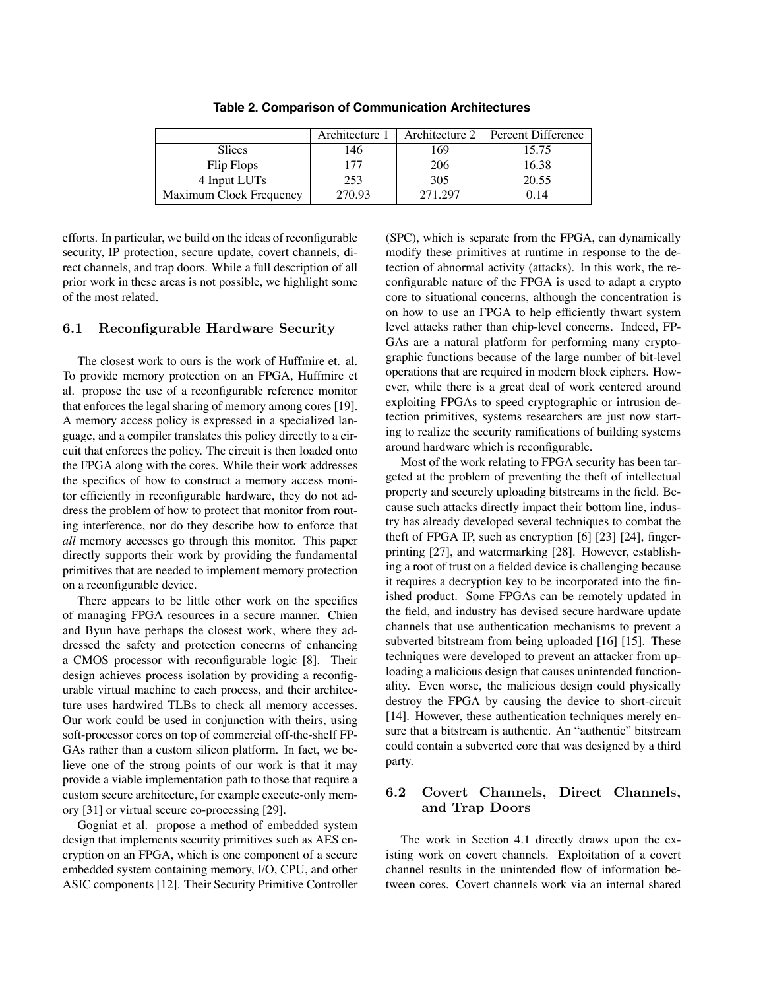|                         | Architecture 1 | Architecture 2 | Percent Difference |
|-------------------------|----------------|----------------|--------------------|
| <b>Slices</b>           | 146            | 169            | 15.75              |
| Flip Flops              | 177            | 206            | 16.38              |
| 4 Input LUTs            | 253            | 305            | 20.55              |
| Maximum Clock Frequency | 270.93         | 271.297        | 0.14               |

**Table 2. Comparison of Communication Architectures**

efforts. In particular, we build on the ideas of reconfigurable security, IP protection, secure update, covert channels, direct channels, and trap doors. While a full description of all prior work in these areas is not possible, we highlight some of the most related.

#### **6.1 Reconfigurable Hardware Security**

The closest work to ours is the work of Huffmire et. al. To provide memory protection on an FPGA, Huffmire et al. propose the use of a reconfigurable reference monitor that enforces the legal sharing of memory among cores [19]. A memory access policy is expressed in a specialized language, and a compiler translates this policy directly to a circuit that enforces the policy. The circuit is then loaded onto the FPGA along with the cores. While their work addresses the specifics of how to construct a memory access monitor efficiently in reconfigurable hardware, they do not address the problem of how to protect that monitor from routing interference, nor do they describe how to enforce that *all* memory accesses go through this monitor. This paper directly supports their work by providing the fundamental primitives that are needed to implement memory protection on a reconfigurable device.

There appears to be little other work on the specifics of managing FPGA resources in a secure manner. Chien and Byun have perhaps the closest work, where they addressed the safety and protection concerns of enhancing a CMOS processor with reconfigurable logic [8]. Their design achieves process isolation by providing a reconfigurable virtual machine to each process, and their architecture uses hardwired TLBs to check all memory accesses. Our work could be used in conjunction with theirs, using soft-processor cores on top of commercial off-the-shelf FP-GAs rather than a custom silicon platform. In fact, we believe one of the strong points of our work is that it may provide a viable implementation path to those that require a custom secure architecture, for example execute-only memory [31] or virtual secure co-processing [29].

Gogniat et al. propose a method of embedded system design that implements security primitives such as AES encryption on an FPGA, which is one component of a secure embedded system containing memory, I/O, CPU, and other ASIC components [12]. Their Security Primitive Controller (SPC), which is separate from the FPGA, can dynamically modify these primitives at runtime in response to the detection of abnormal activity (attacks). In this work, the reconfigurable nature of the FPGA is used to adapt a crypto core to situational concerns, although the concentration is on how to use an FPGA to help efficiently thwart system level attacks rather than chip-level concerns. Indeed, FP-GAs are a natural platform for performing many cryptographic functions because of the large number of bit-level operations that are required in modern block ciphers. However, while there is a great deal of work centered around exploiting FPGAs to speed cryptographic or intrusion detection primitives, systems researchers are just now starting to realize the security ramifications of building systems around hardware which is reconfigurable.

Most of the work relating to FPGA security has been targeted at the problem of preventing the theft of intellectual property and securely uploading bitstreams in the field. Because such attacks directly impact their bottom line, industry has already developed several techniques to combat the theft of FPGA IP, such as encryption [6] [23] [24], fingerprinting [27], and watermarking [28]. However, establishing a root of trust on a fielded device is challenging because it requires a decryption key to be incorporated into the finished product. Some FPGAs can be remotely updated in the field, and industry has devised secure hardware update channels that use authentication mechanisms to prevent a subverted bitstream from being uploaded [16] [15]. These techniques were developed to prevent an attacker from uploading a malicious design that causes unintended functionality. Even worse, the malicious design could physically destroy the FPGA by causing the device to short-circuit [14]. However, these authentication techniques merely ensure that a bitstream is authentic. An "authentic" bitstream could contain a subverted core that was designed by a third party.

### **6.2 Covert Channels, Direct Channels, and Trap Doors**

The work in Section 4.1 directly draws upon the existing work on covert channels. Exploitation of a covert channel results in the unintended flow of information between cores. Covert channels work via an internal shared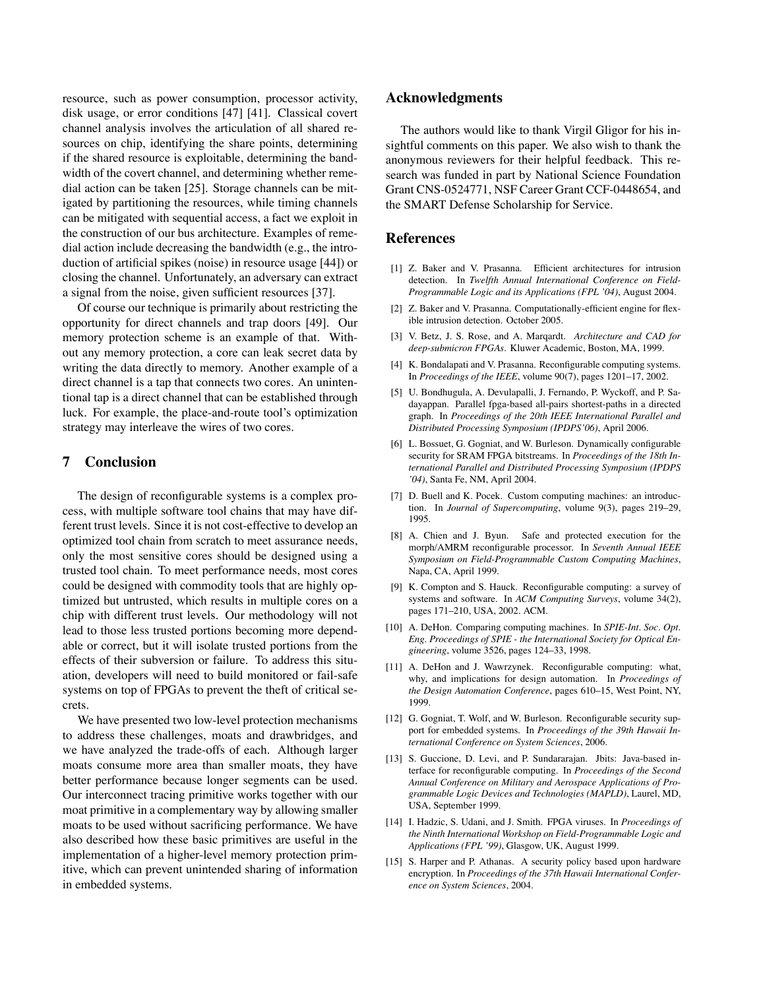resource, such as power consumption, processor activity, disk usage, or error conditions [47] [41]. Classical covert channel analysis involves the articulation of all shared resources on chip, identifying the share points, determining if the shared resource is exploitable, determining the bandwidth of the covert channel, and determining whether remedial action can be taken [25]. Storage channels can be mitigated by partitioning the resources, while timing channels can be mitigated with sequential access, a fact we exploit in the construction of our bus architecture. Examples of remedial action include decreasing the bandwidth (e.g., the introduction of artificial spikes (noise) in resource usage [44]) or closing the channel. Unfortunately, an adversary can extract a signal from the noise, given sufficient resources [37].

Of course our technique is primarily about restricting the opportunity for direct channels and trap doors [49]. Our memory protection scheme is an example of that. Without any memory protection, a core can leak secret data by writing the data directly to memory. Another example of a direct channel is a tap that connects two cores. An unintentional tap is a direct channel that can be established through luck. For example, the place-and-route tool's optimization strategy may interleave the wires of two cores.

### **7 Conclusion**

The design of reconfigurable systems is a complex process, with multiple software tool chains that may have different trust levels. Since it is not cost-effective to develop an optimized tool chain from scratch to meet assurance needs, only the most sensitive cores should be designed using a trusted tool chain. To meet performance needs, most cores could be designed with commodity tools that are highly optimized but untrusted, which results in multiple cores on a chip with different trust levels. Our methodology will not lead to those less trusted portions becoming more dependable or correct, but it will isolate trusted portions from the effects of their subversion or failure. To address this situation, developers will need to build monitored or fail-safe systems on top of FPGAs to prevent the theft of critical secrets.

We have presented two low-level protection mechanisms to address these challenges, moats and drawbridges, and we have analyzed the trade-offs of each. Although larger moats consume more area than smaller moats, they have better performance because longer segments can be used. Our interconnect tracing primitive works together with our moat primitive in a complementary way by allowing smaller moats to be used without sacrificing performance. We have also described how these basic primitives are useful in the implementation of a higher-level memory protection primitive, which can prevent unintended sharing of information in embedded systems.

#### **Acknowledgments**

The authors would like to thank Virgil Gligor for his insightful comments on this paper. We also wish to thank the anonymous reviewers for their helpful feedback. This research was funded in part by National Science Foundation Grant CNS-0524771, NSF Career Grant CCF-0448654, and the SMART Defense Scholarship for Service.

#### **References**

- [1] Z. Baker and V. Prasanna. Efficient architectures for intrusion detection. In *Twelfth Annual International Conference on Field-Programmable Logic and its Applications (FPL '04)*, August 2004.
- [2] Z. Baker and V. Prasanna. Computationally-efficient engine for flexible intrusion detection. October 2005.
- [3] V. Betz, J. S. Rose, and A. Marqardt. *Architecture and CAD for deep-submicron FPGAs*. Kluwer Academic, Boston, MA, 1999.
- [4] K. Bondalapati and V. Prasanna. Reconfigurable computing systems. In *Proceedings of the IEEE*, volume 90(7), pages 1201–17, 2002.
- [5] U. Bondhugula, A. Devulapalli, J. Fernando, P. Wyckoff, and P. Sadayappan. Parallel fpga-based all-pairs shortest-paths in a directed graph. In *Proceedings of the 20th IEEE International Parallel and Distributed Processing Symposium (IPDPS'06)*, April 2006.
- [6] L. Bossuet, G. Gogniat, and W. Burleson. Dynamically configurable security for SRAM FPGA bitstreams. In *Proceedings of the 18th International Parallel and Distributed Processing Symposium (IPDPS '04)*, Santa Fe, NM, April 2004.
- [7] D. Buell and K. Pocek. Custom computing machines: an introduction. In *Journal of Supercomputing*, volume 9(3), pages 219–29, 1995.
- [8] A. Chien and J. Byun. Safe and protected execution for the morph/AMRM reconfigurable processor. In *Seventh Annual IEEE Symposium on Field-Programmable Custom Computing Machines*, Napa, CA, April 1999.
- [9] K. Compton and S. Hauck. Reconfigurable computing: a survey of systems and software. In *ACM Computing Surveys*, volume 34(2), pages 171–210, USA, 2002. ACM.
- [10] A. DeHon. Comparing computing machines. In *SPIE-Int. Soc. Opt. Eng. Proceedings of SPIE - the International Society for Optical Engineering*, volume 3526, pages 124–33, 1998.
- [11] A. DeHon and J. Wawrzynek. Reconfigurable computing: what, why, and implications for design automation. In *Proceedings of the Design Automation Conference*, pages 610–15, West Point, NY, 1999.
- [12] G. Gogniat, T. Wolf, and W. Burleson. Reconfigurable security support for embedded systems. In *Proceedings of the 39th Hawaii International Conference on System Sciences*, 2006.
- [13] S. Guccione, D. Levi, and P. Sundararajan. Jbits: Java-based interface for reconfigurable computing. In *Proceedings of the Second Annual Conference on Military and Aerospace Applications of Programmable Logic Devices and Technologies (MAPLD)*, Laurel, MD, USA, September 1999.
- [14] I. Hadzic, S. Udani, and J. Smith. FPGA viruses. In *Proceedings of the Ninth International Workshop on Field-Programmable Logic and Applications (FPL '99)*, Glasgow, UK, August 1999.
- [15] S. Harper and P. Athanas. A security policy based upon hardware encryption. In *Proceedings of the 37th Hawaii International Conference on System Sciences*, 2004.